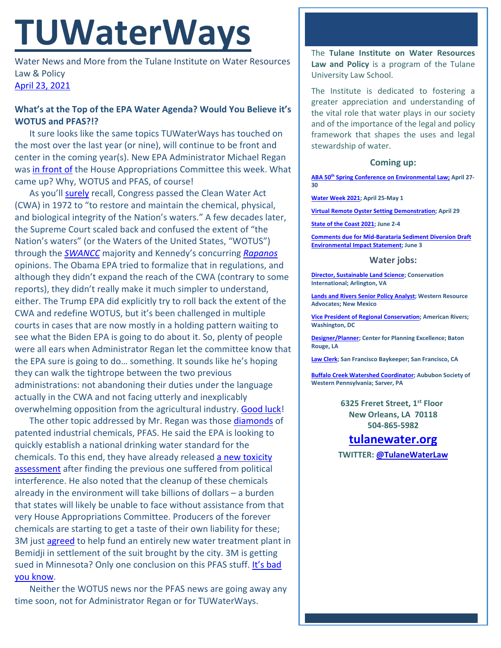# **TUWaterWays**

Water News and More from the Tulane Institute on Water Resources Law & Policy [April 23,](https://thisdayinwaterhistory.wordpress.com/) 2021

## **What's at the Top of the EPA Water Agenda? Would You Believe it's WOTUS and PFAS?!?**

It sure looks like the same topics TUWaterWays has touched on the most over the last year (or nine), will continue to be front and center in the coming year(s). New EPA Administrator Michael Regan wa[s in front of](https://thehill.com/policy/energy-environment/549503-epa-administrator-we-dont-plan-to-return-verbatim-to-obama-era) the House Appropriations Committee this week. What came up? Why, WOTUS and PFAS, of course!

As you'll [surely](https://www.youtube.com/watch?v=ixljWVyPby0) recall, Congress passed the Clean Water Act (CWA) in 1972 to "to restore and maintain the chemical, physical, and biological integrity of the Nation's waters." A few decades later, the Supreme Court scaled back and confused the extent of "the Nation's waters" (or the Waters of the United States, "WOTUS") through the *[SWANCC](https://www.law.cornell.edu/supct/html/99-1178.ZO.html)* majority and Kennedy's concurring *[Rapanos](https://www.law.cornell.edu/supct/html/04-1034.ZS.html)* opinions. The Obama EPA tried to formalize that in regulations, and although they didn't expand the reach of the CWA (contrary to some reports), they didn't really make it much simpler to understand, either. The Trump EPA did explicitly try to roll back the extent of the CWA and redefine WOTUS, but it's been challenged in multiple courts in cases that are now mostly in a holding pattern waiting to see what the Biden EPA is going to do about it. So, plenty of people were all ears when Administrator Regan let the committee know that the EPA sure is going to do… something. It sounds like he's hoping they can walk the tightrope between the two previous administrations: not abandoning their duties under the language actually in the CWA and not facing utterly and inexplicably overwhelming opposition from the agricultural industry. [Good luck!](https://www.youtube.com/watch?v=HbVKmSQqELY)

The other topic addressed by Mr. Regan was thos[e diamonds](https://www.youtube.com/watch?v=ZwbEuzJCnqI) of patented industrial chemicals, PFAS. He said the EPA is looking to quickly establish a national drinking water standard for the chemicals. To this end, they have already released [a new toxicity](https://cfpub.epa.gov/ncea/risk/recordisplay.cfm?deid=350888)  [assessment](https://cfpub.epa.gov/ncea/risk/recordisplay.cfm?deid=350888) after finding the previous one suffered from political interference. He also noted that the cleanup of these chemicals already in the environment will take billions of dollars – a burden that states will likely be unable to face without assistance from that very House Appropriations Committee. Producers of the forever chemicals are starting to get a taste of their own liability for these; 3M just [agreed](https://www.wateronline.com/doc/following-pfas-contamination-m-to-pay-million-for-new-water-treatment-plant-0001) to help fund an entirely new water treatment plant in Bemidji in settlement of the suit brought by the city. 3M is getting sued in Minnesota? Only one conclusion on this PFAS stuff. It's bad [you know.](https://www.youtube.com/watch?v=QzC_rGX-XyM)

Neither the WOTUS news nor the PFAS news are going away any time soon, not for Administrator Regan or for TUWaterWays.

The **Tulane Institute on Water Resources Law and Policy** is a program of the Tulane University Law School.

The Institute is dedicated to fostering a greater appreciation and understanding of the vital role that water plays in our society and of the importance of the legal and policy framework that shapes the uses and legal stewardship of water.

### **Coming up:**

**ABA 50th [Spring Conference on Environmental Law;](https://www.americanbar.org/groups/environment_energy_resources/events_cle/50th-spring-conference/) April 27- 30**

**[Water Week 2021;](https://www.nacwa.org/conferences-events/event-at-a-glance/2021/04/25/nacwa-events/water-week-2021) April 25-May 1**

**[Virtual Remote Oyster Setting Demonstration;](https://www.laseagrant.org/event/virtual-remote-oyster-setting-demonstration/?instance_id=1085) April 29**

**[State of the Coast 2021;](https://www.stateofthecoast.org/) June 2-4**

**[Comments due for Mid-Barataria Sediment Diversion Draft](https://parkplanning.nps.gov/document.cfm?parkID=534&projectID=100083&documentID=110454)  [Environmental Impact Statement;](https://parkplanning.nps.gov/document.cfm?parkID=534&projectID=100083&documentID=110454) June 3**

#### **Water jobs:**

**[Director, Sustainable Land Science;](https://phh.tbe.taleo.net/phh04/ats/careers/v2/viewRequisition?org=CONSERVATION&cws=39&rid=1439) Conservation International; Arlington, VA**

**[Lands and Rivers Senior Policy Analyst;](https://westernresourceadvocates.org/careers/lands-rivers-sr-policy-analyst/) Western Resource Advocates; New Mexico**

**[Vice President of Regional Conservation;](https://americanrivers.bamboohr.com/jobs/view.php?id=74) American Rivers; Washington, DC**

**[Designer/Planner;](https://www.cpex.org/jobs) Center for Planning Excellence; Baton Rouge, LA**

**[Law](https://baykeeper.org/about-baykeeper/jobs-and-internships#seniorattorney) Clerk; San Francisco Baykeeper; San Francisco, CA**

**[Buffalo Creek Watershed Coordinator;](https://www.indeed.com/viewjob?cmp=Audubon-Society-of-Western-Pennsylvania&t=Buffalo%20Creek%20Watershed%20Coordinator&jk=7ac3f00e53ac4a64&q=%22watershed%22&vjs=3) Aububon Society of Western Pennsylvania; Sarver, PA**

> **6325 Freret Street, 1st Floor New Orleans, LA 70118 504-865-5982**

## **tulanewater.org**

**TWITTER: [@TulaneWaterLaw](http://www.twitter.com/TulaneWaterLaw)**